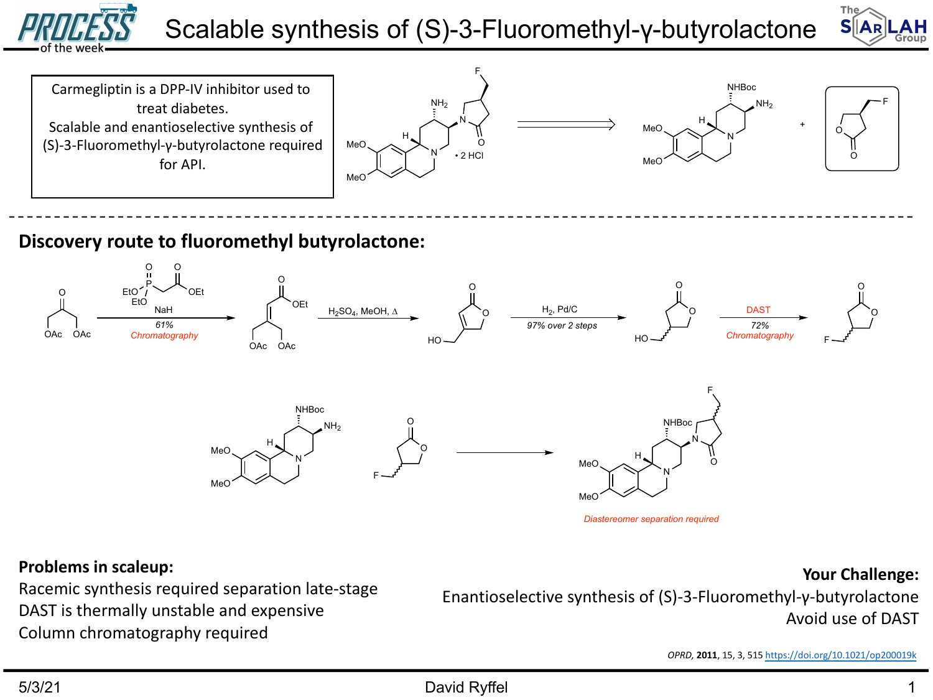

# Scalable synthesis of (S)-3-Fluoromethyl-γ-butyrolactor



#### **Problems in scaleup:**

Racemic synthesis required separation late-stage DAST is thermally unstable and expensive Column chromatography required

Enantioselective synthesis of (S)-3-Fluoromethy  $\beta$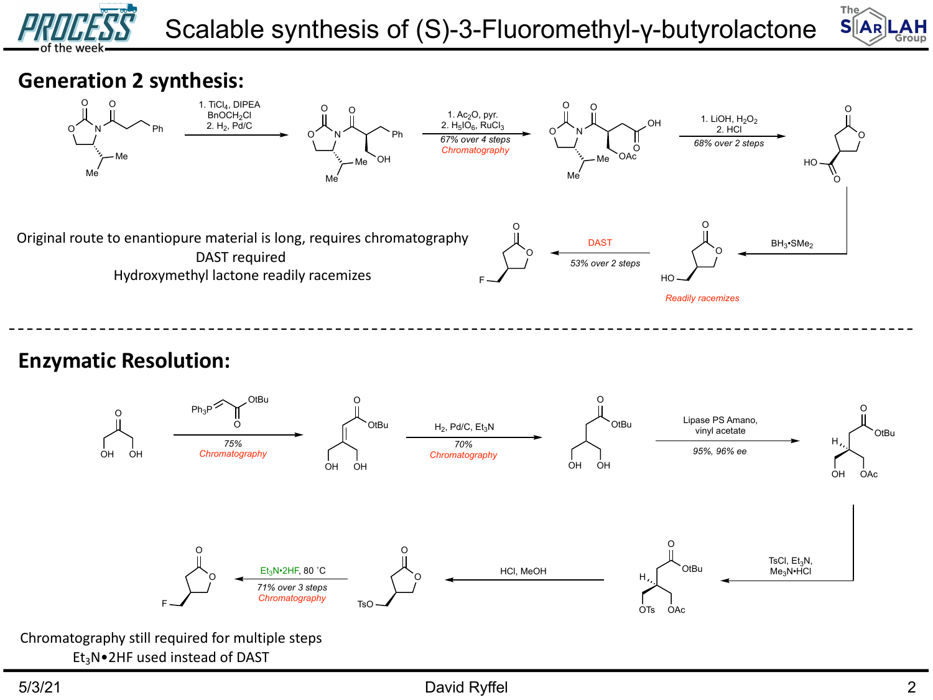



# **Generation 2 synthesis:**



### **Enzymatic Resolution:**

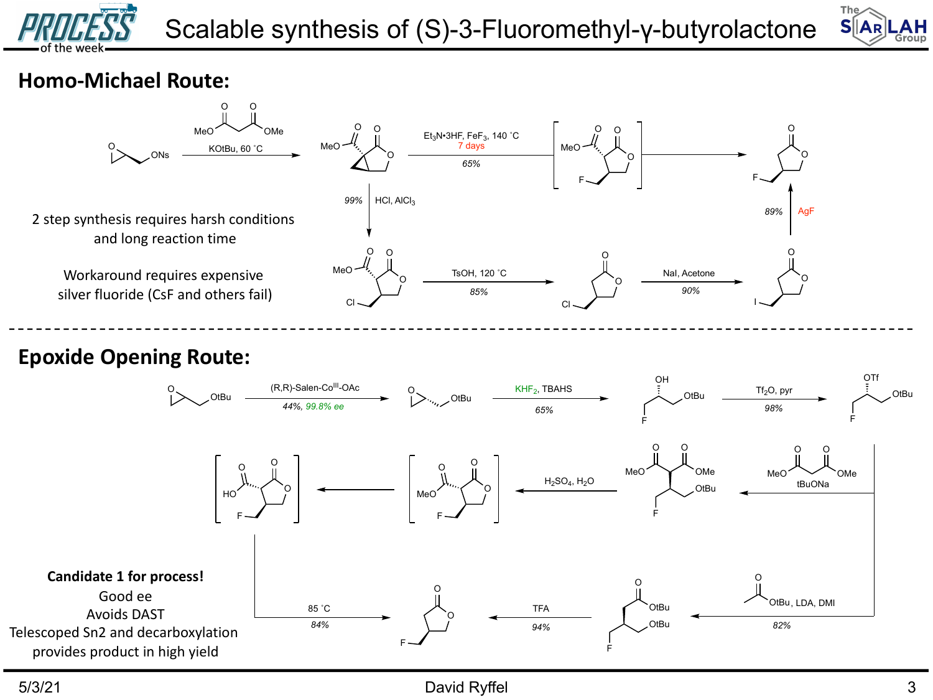



# **Homo-Michael Route:**